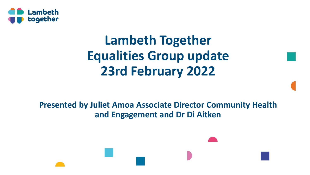

# **Lambeth Together Equalities Group update 23rd February 2022**

**Presented by Juliet Amoa Associate Director Community Health and Engagement and Dr Di Aitken**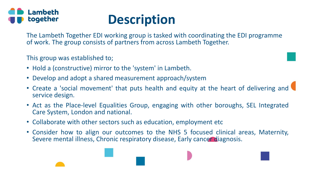



The Lambeth Together EDI working group is tasked with coordinating the EDI programme of work. The group consists of partners from across Lambeth Together.

This group was established to;

- Hold a (constructive) mirror to the 'system' in Lambeth.
- Develop and adopt a shared measurement approach/system
- Create a 'social movement' that puts health and equity at the heart of delivering and service design.
- Act as the Place-level Equalities Group, engaging with other boroughs, SEL Integrated Care System, London and national.
- Collaborate with other sectors such as education, employment etc
- Consider how to align our outcomes to the NHS 5 focused clinical areas, Maternity, Severe mental illness, Chronic respiratory disease, Early cancer diagnosis.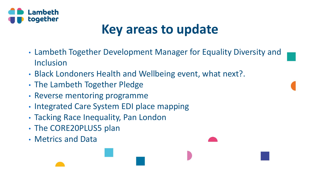

## **Key areas to update**

- Lambeth Together Development Manager for Equality Diversity and Inclusion
- Black Londoners Health and Wellbeing event, what next?.
- The Lambeth Together Pledge
- Reverse mentoring programme
- Integrated Care System EDI place mapping
- Tacking Race Inequality, Pan London
- The CORE20PLUS5 plan
- Metrics and Data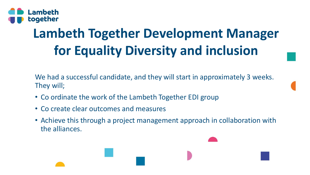

# **Lambeth Together Development Manager for Equality Diversity and inclusion**

We had a successful candidate, and they will start in approximately 3 weeks. They will;

- Co ordinate the work of the Lambeth Together EDI group
- Co create clear outcomes and measures
- Achieve this through a project management approach in collaboration with the alliances.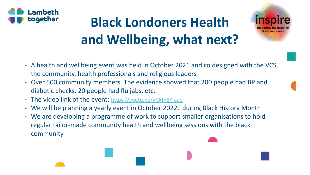

# **Black Londoners Health and Wellbeing, what next?**



- A health and wellbeing event was held in October 2021 and co designed with the VCS, the community, health professionals and religious leaders
- Over 500 community members. The evidence showed that 200 people had BP and diabetic checks, 20 people had flu jabs. etc.
- The video link of the event; [https://youtu.be/yKAfh8Y-aao](https://eur03.safelinks.protection.outlook.com/?url=https%3A%2F%2Fyoutu.be%2FyKAfh8Y-aao&data=04%7C01%7CJAmoa%40lambeth.gov.uk%7C761e1cd9dca043a87d3c08d9e2417a3a%7Cc4f22780485f4507af4a60a971d6f7fe%7C0%7C0%7C637789593125658379%7CUnknown%7CTWFpbGZsb3d8eyJWIjoiMC4wLjAwMDAiLCJQIjoiV2luMzIiLCJBTiI6Ik1haWwiLCJXVCI6Mn0%3D%7C3000&sdata=G86JNhoPQGY%2B5twLTqrmcRpw6yfooUR9OoLzc90YYak%3D&reserved=0)
- We will be planning a yearly event in October 2022, during Black History Month
- We are developing a programme of work to support smaller organisations to hold regular tailor-made community health and wellbeing sessions with the black community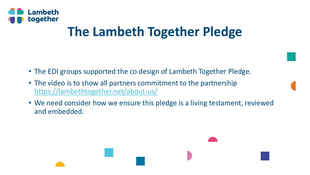

# **The Lambeth Together Pledge**

- The EDI groups supported the co design of Lambeth Together Pledge.
- The video is to show all partners commitment to the partnership <https://lambethtogether.net/about-us/>
- We need consider how we ensure this pledge is a living testament, reviewed and embedded.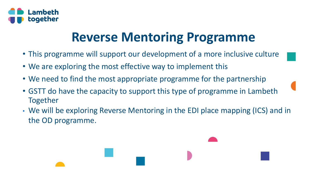

## **Reverse Mentoring Programme**

- This programme will support our development of a more inclusive culture
- We are exploring the most effective way to implement this
- We need to find the most appropriate programme for the partnership
- GSTT do have the capacity to support this type of programme in Lambeth Together
- We will be exploring Reverse Mentoring in the EDI place mapping (ICS) and in the OD programme.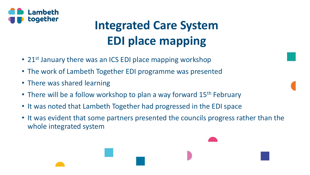

# **Integrated Care System EDI place mapping**

- 21<sup>st</sup> January there was an ICS EDI place mapping workshop
- The work of Lambeth Together EDI programme was presented
- There was shared learning
- There will be a follow workshop to plan a way forward 15<sup>th</sup> February
- It was noted that Lambeth Together had progressed in the EDI space
- It was evident that some partners presented the councils progress rather than the whole integrated system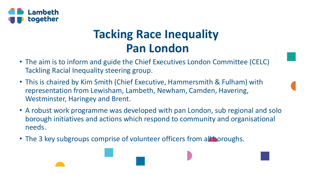

#### **Tacking Race Inequality Pan London**

- The aim is to inform and guide the Chief Executives London Committee (CELC) Tackling Racial Inequality steering group.
- This is chaired by Kim Smith (Chief Executive, Hammersmith & Fulham) with representation from Lewisham, Lambeth, Newham, Camden, Havering, Westminster, Haringey and Brent.
- A robust work programme was developed with pan London, sub regional and solo borough initiatives and actions which respond to community and organisational needs.
- The 3 key subgroups comprise of volunteer officers from all boroughs.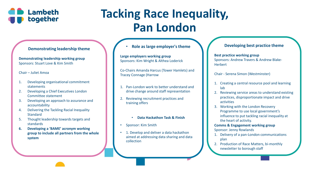

### **Tacking Race Inequality, Pan London**

#### **Demonstrating leadership theme**

**Demonstrating leadership working group** Sponsors: Stuart Love & Kim Smith

Chair – Juliet Amoa

- 1. Developing organisational commitment statements
- 2. Developing a Chief Executives London Committee statement
- 3. Developing an approach to assurance and accountability
- 4. Delivering the Tackling Racial Inequality **Standard**
- 5. Thought leadership towards targets and standards
- **6. Developing a 'BAME' acronym working group to include all partners from the whole system**

• **Role as large employer's theme**

**Large employers working group** Sponsors: Kim Wright & Althea Loderick

Co-Chairs Amanda Harcus (Tower Hamlets) and Tracey Connage (Harrow

- 1. Pan-London work to better understand and drive change around staff representation
- 2. Reviewing recruitment practices and training offers
	- **Data Hackathon Task & Finish**
- Sponsor: Kim Smith
- 1. Develop and deliver a data hackathon aimed at addressing data sharing and data collection

#### **Developing best practice theme**

**Best practice working group** Sponsors: Andrew Travers & Andrew Blake-**Herbert** 

Chair - Serena Simon (Westminster)

- 1. Creating a central resource pool and learning lab
- 2. Reviewing service areas to understand existing practices, disproportionate impact and drive activities
- 3. Working with the London Recovery Programme to use local government's influence to put tackling racial inequality at the heart of activity.
- **Comms & Engagement working group** Sponsor: Jenny Rowlands
- 1. Delivery of a pan-London communications plan
- 2. Production of Race Matters, bi-monthly newsletter to borough staff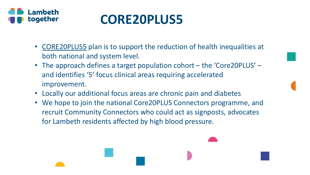

## **CORE20PLUS5**

- [CORE20PLUS5](https://www.england.nhs.uk/about/equality/equality-hub/core20plus5/) plan is to support the reduction of health inequalities at both national and system level.
- The approach defines a target population cohort the 'Core20PLUS' and identifies '5' focus clinical areas requiring accelerated improvement.
- Locally our additional focus areas are chronic pain and diabetes
- We hope to join the national Core20PLUS Connectors programme, and recruit Community Connectors who could act as signposts, advocates for Lambeth residents affected by high blood pressure.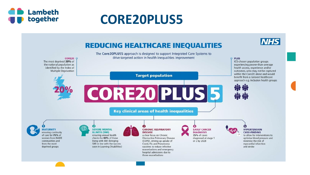

### **CORE20PLUS5**

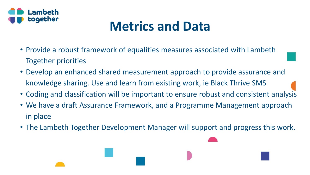

# **Metrics and Data**

- Provide a robust framework of equalities measures associated with Lambeth Together priorities
- Develop an enhanced shared measurement approach to provide assurance and knowledge sharing. Use and learn from existing work, ie Black Thrive SMS
- Coding and classification will be important to ensure robust and consistent analysis
- We have a draft Assurance Framework, and a Programme Management approach in place
- The Lambeth Together Development Manager will support and progress this work.